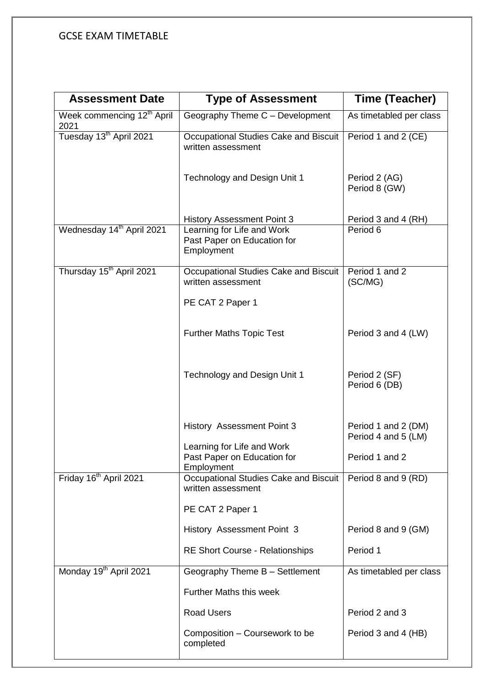| <b>Assessment Date</b>                         | <b>Type of Assessment</b>                                               | Time (Teacher)                             |
|------------------------------------------------|-------------------------------------------------------------------------|--------------------------------------------|
| Week commencing 12 <sup>th</sup> April<br>2021 | Geography Theme C - Development                                         | As timetabled per class                    |
| Tuesday 13 <sup>th</sup> April 2021            | Occupational Studies Cake and Biscuit<br>written assessment             | Period 1 and 2 (CE)                        |
|                                                | Technology and Design Unit 1                                            | Period 2 (AG)<br>Period 8 (GW)             |
|                                                | <b>History Assessment Point 3</b>                                       | Period 3 and 4 (RH)                        |
| Wednesday 14th April 2021                      | Learning for Life and Work<br>Past Paper on Education for<br>Employment | Period 6                                   |
| Thursday 15 <sup>th</sup> April 2021           | Occupational Studies Cake and Biscuit<br>written assessment             | Period 1 and 2<br>(SC/MG)                  |
|                                                | PE CAT 2 Paper 1                                                        |                                            |
|                                                | <b>Further Maths Topic Test</b>                                         | Period 3 and 4 (LW)                        |
|                                                | Technology and Design Unit 1                                            | Period 2 (SF)<br>Period 6 (DB)             |
|                                                | <b>History Assessment Point 3</b>                                       | Period 1 and 2 (DM)<br>Period 4 and 5 (LM) |
|                                                | Learning for Life and Work<br>Past Paper on Education for<br>Employment | Period 1 and 2                             |
| Friday 16 <sup>th</sup> April 2021             | Occupational Studies Cake and Biscuit<br>written assessment             | Period 8 and 9 (RD)                        |
|                                                | PE CAT 2 Paper 1                                                        |                                            |
|                                                | History Assessment Point 3                                              | Period 8 and 9 (GM)                        |
|                                                | <b>RE Short Course - Relationships</b>                                  | Period 1                                   |
| Monday 19 <sup>th</sup> April 2021             | Geography Theme B - Settlement                                          | As timetabled per class                    |
|                                                | <b>Further Maths this week</b>                                          |                                            |
|                                                | <b>Road Users</b>                                                       | Period 2 and 3                             |
|                                                | Composition - Coursework to be<br>completed                             | Period 3 and 4 (HB)                        |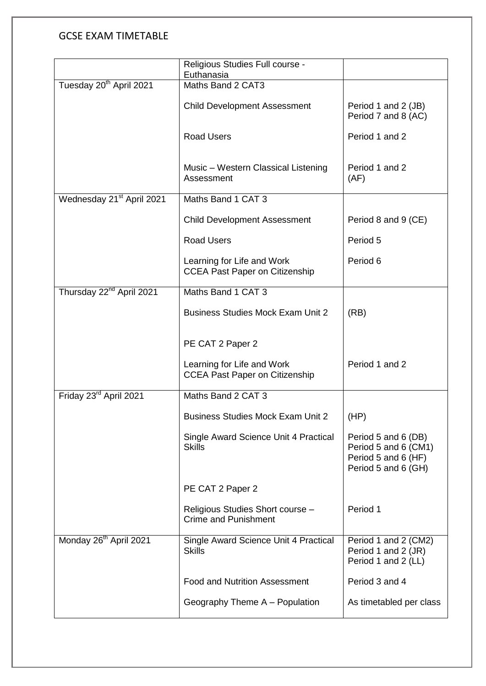|                                       | Religious Studies Full course -<br>Euthanasia                       |                                                                                           |
|---------------------------------------|---------------------------------------------------------------------|-------------------------------------------------------------------------------------------|
| Tuesday 20 <sup>th</sup> April 2021   | Maths Band 2 CAT3                                                   |                                                                                           |
|                                       | <b>Child Development Assessment</b>                                 | Period 1 and 2 (JB)<br>Period 7 and 8 (AC)                                                |
|                                       | <b>Road Users</b>                                                   | Period 1 and 2                                                                            |
|                                       | Music - Western Classical Listening<br>Assessment                   | Period 1 and 2<br>(AF)                                                                    |
| Wednesday 21 <sup>st</sup> April 2021 | Maths Band 1 CAT 3                                                  |                                                                                           |
|                                       | <b>Child Development Assessment</b>                                 | Period 8 and 9 (CE)                                                                       |
|                                       | <b>Road Users</b>                                                   | Period 5                                                                                  |
|                                       | Learning for Life and Work<br><b>CCEA Past Paper on Citizenship</b> | Period 6                                                                                  |
| Thursday 22 <sup>nd</sup> April 2021  | Maths Band 1 CAT 3                                                  |                                                                                           |
|                                       | <b>Business Studies Mock Exam Unit 2</b>                            | (RB)                                                                                      |
|                                       | PE CAT 2 Paper 2                                                    |                                                                                           |
|                                       | Learning for Life and Work<br><b>CCEA Past Paper on Citizenship</b> | Period 1 and 2                                                                            |
| Friday 23rd April 2021                | Maths Band 2 CAT 3                                                  |                                                                                           |
|                                       | <b>Business Studies Mock Exam Unit 2</b>                            | (HP)                                                                                      |
|                                       | Single Award Science Unit 4 Practical<br><b>Skills</b>              | Period 5 and 6 (DB)<br>Period 5 and 6 (CM1)<br>Period 5 and 6 (HF)<br>Period 5 and 6 (GH) |
|                                       | PE CAT 2 Paper 2                                                    |                                                                                           |
|                                       | Religious Studies Short course -<br><b>Crime and Punishment</b>     | Period 1                                                                                  |
| Monday 26 <sup>th</sup> April 2021    | Single Award Science Unit 4 Practical<br><b>Skills</b>              | Period 1 and 2 (CM2)<br>Period 1 and 2 (JR)<br>Period 1 and 2 (LL)                        |
|                                       | <b>Food and Nutrition Assessment</b>                                | Period 3 and 4                                                                            |
|                                       | Geography Theme A - Population                                      | As timetabled per class                                                                   |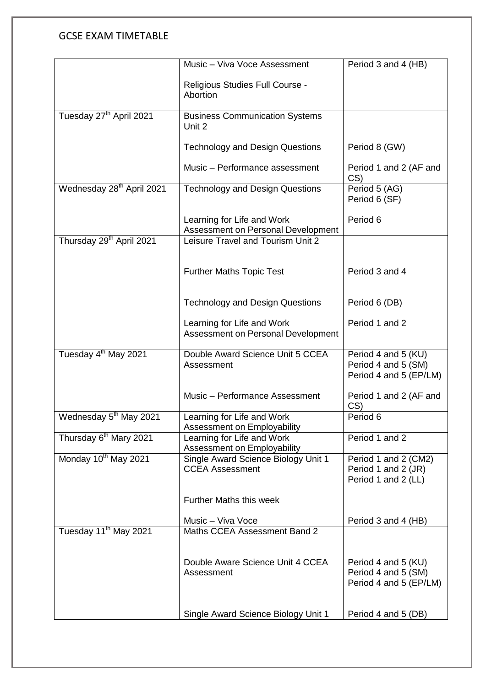|                                       | Music - Viva Voce Assessment                                     | Period 3 and 4 (HB)                                                  |
|---------------------------------------|------------------------------------------------------------------|----------------------------------------------------------------------|
|                                       | Religious Studies Full Course -<br>Abortion                      |                                                                      |
| Tuesday 27 <sup>th</sup> April 2021   | <b>Business Communication Systems</b><br>Unit 2                  |                                                                      |
|                                       | <b>Technology and Design Questions</b>                           | Period 8 (GW)                                                        |
|                                       | Music - Performance assessment                                   | Period 1 and 2 (AF and<br>CS                                         |
| Wednesday 28 <sup>th</sup> April 2021 | <b>Technology and Design Questions</b>                           | Period 5 (AG)<br>Period 6 (SF)                                       |
|                                       | Learning for Life and Work<br>Assessment on Personal Development | Period 6                                                             |
| Thursday 29 <sup>th</sup> April 2021  | Leisure Travel and Tourism Unit 2                                |                                                                      |
|                                       | <b>Further Maths Topic Test</b>                                  | Period 3 and 4                                                       |
|                                       | <b>Technology and Design Questions</b>                           | Period 6 (DB)                                                        |
|                                       | Learning for Life and Work<br>Assessment on Personal Development | Period 1 and 2                                                       |
| Tuesday 4 <sup>th</sup> May 2021      | Double Award Science Unit 5 CCEA<br>Assessment                   | Period 4 and 5 (KU)<br>Period 4 and 5 (SM)<br>Period 4 and 5 (EP/LM) |
|                                       | Music - Performance Assessment                                   | Period 1 and 2 (AF and<br>CS)                                        |
| Wednesday 5 <sup>th</sup> May 2021    | Learning for Life and Work<br>Assessment on Employability        | Period 6                                                             |
| Thursday 6 <sup>th</sup> Mary 2021    | Learning for Life and Work<br>Assessment on Employability        | Period 1 and 2                                                       |
| Monday 10 <sup>th</sup> May 2021      | Single Award Science Biology Unit 1<br><b>CCEA Assessment</b>    | Period 1 and 2 (CM2)<br>Period 1 and 2 (JR)<br>Period 1 and 2 (LL)   |
|                                       | <b>Further Maths this week</b>                                   |                                                                      |
|                                       | Music - Viva Voce                                                | Period 3 and 4 (HB)                                                  |
| Tuesday 11 <sup>th</sup> May 2021     | Maths CCEA Assessment Band 2                                     |                                                                      |
|                                       | Double Aware Science Unit 4 CCEA<br>Assessment                   | Period 4 and 5 (KU)<br>Period 4 and 5 (SM)<br>Period 4 and 5 (EP/LM) |
|                                       | Single Award Science Biology Unit 1                              | Period 4 and 5 (DB)                                                  |